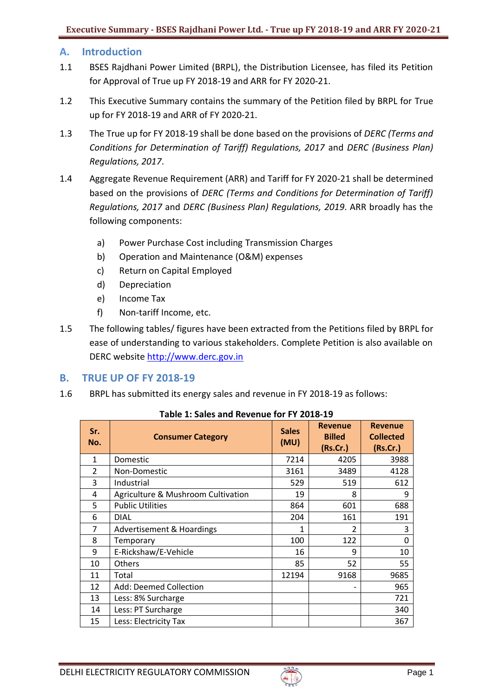# **A. Introduction**

- 1.1 BSES Rajdhani Power Limited (BRPL), the Distribution Licensee, has filed its Petition for Approval of True up FY 2018-19 and ARR for FY 2020-21.
- 1.2 This Executive Summary contains the summary of the Petition filed by BRPL for True up for FY 2018-19 and ARR of FY 2020-21.
- 1.3 The True up for FY 2018-19 shall be done based on the provisions of *DERC (Terms and Conditions for Determination of Tariff) Regulations, 2017* and *DERC (Business Plan) Regulations, 2017*.
- 1.4 Aggregate Revenue Requirement (ARR) and Tariff for FY 2020-21 shall be determined based on the provisions of *DERC (Terms and Conditions for Determination of Tariff) Regulations, 2017* and *DERC (Business Plan) Regulations, 2019*. ARR broadly has the following components:
	- a) Power Purchase Cost including Transmission Charges
	- b) Operation and Maintenance (O&M) expenses
	- c) Return on Capital Employed
	- d) Depreciation
	- e) Income Tax
	- f) Non-tariff Income, etc.
- 1.5 The following tables/ figures have been extracted from the Petitions filed by BRPL for ease of understanding to various stakeholders. Complete Petition is also available on DERC website [http://www.derc.gov.in](http://www.derc.gov.in/)

# **B. TRUE UP OF FY 2018-19**

1.6 BRPL has submitted its energy sales and revenue in FY 2018-19 as follows:

| Sr.<br>No. | <b>Consumer Category</b>           | <b>Sales</b><br>(MU) | <b>Revenue</b><br><b>Billed</b><br>(Rs.Cr.) | <b>Revenue</b><br><b>Collected</b><br>(Rs.Cr.) |
|------------|------------------------------------|----------------------|---------------------------------------------|------------------------------------------------|
| 1          | Domestic                           | 7214                 | 4205                                        | 3988                                           |
| 2          | Non-Domestic                       | 3161                 | 3489                                        | 4128                                           |
| 3          | Industrial                         | 529                  | 519                                         | 612                                            |
| 4          | Agriculture & Mushroom Cultivation | 19                   | 8                                           | 9                                              |
| 5          | <b>Public Utilities</b>            | 864                  | 601                                         | 688                                            |
| 6          | <b>DIAL</b>                        | 204                  | 161                                         | 191                                            |
| 7          | Advertisement & Hoardings          | 1                    | 2                                           | 3                                              |
| 8          | Temporary                          | 100                  | 122                                         | 0                                              |
| 9          | E-Rickshaw/E-Vehicle               | 16                   | 9                                           | 10                                             |
| 10         | Others                             | 85                   | 52                                          | 55                                             |
| 11         | Total                              | 12194                | 9168                                        | 9685                                           |
| 12         | Add: Deemed Collection             |                      |                                             | 965                                            |
| 13         | Less: 8% Surcharge                 |                      |                                             | 721                                            |
| 14         | Less: PT Surcharge                 |                      |                                             | 340                                            |
| 15         | Less: Electricity Tax              |                      |                                             | 367                                            |

**Table 1: Sales and Revenue for FY 2018-19**

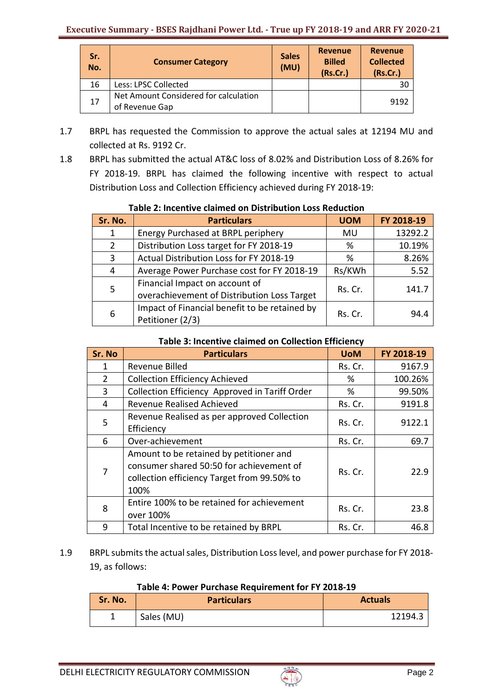| Sr.<br>No. | <b>Consumer Category</b>                                | <b>Sales</b><br>(MU) | <b>Revenue</b><br><b>Billed</b><br>(Rs.Cr.) | <b>Revenue</b><br><b>Collected</b><br>(Rs.Cr.) |
|------------|---------------------------------------------------------|----------------------|---------------------------------------------|------------------------------------------------|
| 16         | Less: LPSC Collected                                    |                      |                                             | 30                                             |
| 17         | Net Amount Considered for calculation<br>of Revenue Gap |                      |                                             | 9192                                           |

- 1.7 BRPL has requested the Commission to approve the actual sales at 12194 MU and collected at Rs. 9192 Cr.
- 1.8 BRPL has submitted the actual AT&C loss of 8.02% and Distribution Loss of 8.26% for FY 2018-19. BRPL has claimed the following incentive with respect to actual Distribution Loss and Collection Efficiency achieved during FY 2018-19:

| Sr. No.        | <b>Particulars</b>                                                            | <b>UOM</b>  | FY 2018-19 |  |
|----------------|-------------------------------------------------------------------------------|-------------|------------|--|
| 1              | Energy Purchased at BRPL periphery                                            | MU          | 13292.2    |  |
| $\overline{2}$ | Distribution Loss target for FY 2018-19                                       | 10.19%<br>% |            |  |
| 3              | Actual Distribution Loss for FY 2018-19                                       | %           | 8.26%      |  |
| 4              | Average Power Purchase cost for FY 2018-19                                    | Rs/KWh      | 5.52       |  |
| 5              | Financial Impact on account of<br>overachievement of Distribution Loss Target | Rs. Cr.     | 141.7      |  |
| 6              | Impact of Financial benefit to be retained by<br>Petitioner (2/3)             | Rs. Cr.     | 94.4       |  |

# **Table 2: Incentive claimed on Distribution Loss Reduction**

## **Table 3: Incentive claimed on Collection Efficiency**

| Sr. No | <b>Particulars</b>                                                                                                                         | <b>UoM</b> | FY 2018-19 |
|--------|--------------------------------------------------------------------------------------------------------------------------------------------|------------|------------|
| 1      | Revenue Billed                                                                                                                             | Rs. Cr.    | 9167.9     |
| 2      | <b>Collection Efficiency Achieved</b>                                                                                                      | %          | 100.26%    |
| 3      | Collection Efficiency Approved in Tariff Order                                                                                             | %          | 99.50%     |
| 4      | <b>Revenue Realised Achieved</b>                                                                                                           | Rs. Cr.    | 9191.8     |
| 5      | Revenue Realised as per approved Collection<br>Efficiency                                                                                  | Rs. Cr.    | 9122.1     |
| 6      | Over-achievement                                                                                                                           | Rs. Cr.    | 69.7       |
| 7      | Amount to be retained by petitioner and<br>consumer shared 50:50 for achievement of<br>collection efficiency Target from 99.50% to<br>100% | Rs. Cr.    | 22.9       |
| 8      | Entire 100% to be retained for achievement<br>over 100%                                                                                    | Rs. Cr.    | 23.8       |
| 9      | Total Incentive to be retained by BRPL                                                                                                     | Rs. Cr.    | 46.8       |

1.9 BRPL submits the actual sales, Distribution Loss level, and power purchase for FY 2018- 19, as follows:

# **Table 4: Power Purchase Requirement for FY 2018-19**

| Sr. No. | <b>Particulars</b> | <b>Actuals</b> |
|---------|--------------------|----------------|
| -       | Sales (MU)         | 12194.3        |

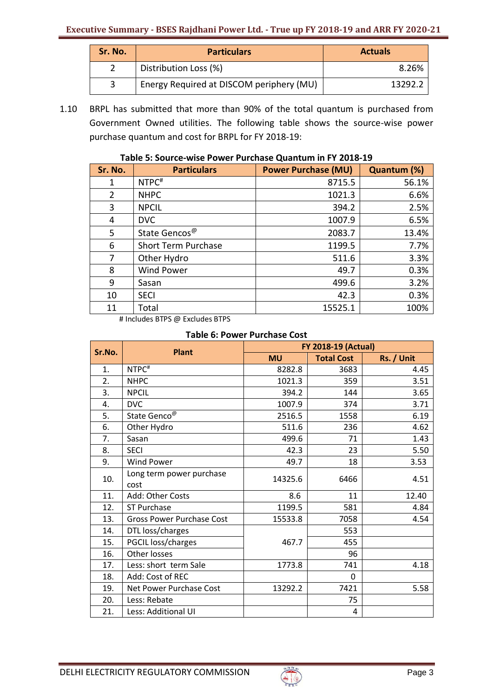| Sr. No. | <b>Particulars</b>                       | <b>Actuals</b> |
|---------|------------------------------------------|----------------|
|         | Distribution Loss (%)                    | 8.26%          |
|         | Energy Required at DISCOM periphery (MU) | 13292.3        |

1.10 BRPL has submitted that more than 90% of the total quantum is purchased from Government Owned utilities. The following table shows the source-wise power purchase quantum and cost for BRPL for FY 2018-19:

| Sr. No.        | <b>Particulars</b>         | <b>Power Purchase (MU)</b> | Quantum (%) |
|----------------|----------------------------|----------------------------|-------------|
| 1              | NTPC <sup>#</sup>          | 8715.5                     | 56.1%       |
| $\overline{2}$ | <b>NHPC</b>                | 1021.3                     | 6.6%        |
| 3              | <b>NPCIL</b>               | 394.2                      | 2.5%        |
| 4              | <b>DVC</b>                 | 1007.9                     | 6.5%        |
| 5              | State Gencos <sup>@</sup>  | 2083.7                     | 13.4%       |
| 6              | <b>Short Term Purchase</b> | 1199.5                     | 7.7%        |
| 7              | Other Hydro                | 511.6                      | 3.3%        |
| 8              | <b>Wind Power</b>          | 49.7                       | 0.3%        |
| 9              | Sasan                      | 499.6                      | 3.2%        |
| 10             | <b>SECI</b>                | 42.3                       | 0.3%        |
| 11             | Total                      | 15525.1                    | 100%        |

### **Table 5: Source-wise Power Purchase Quantum in FY 2018-19**

# Includes BTPS @ Excludes BTPS

## **Table 6: Power Purchase Cost**

| Sr.No. | <b>Plant</b>                     | <b>FY 2018-19 (Actual)</b> |                   |            |
|--------|----------------------------------|----------------------------|-------------------|------------|
|        |                                  | <b>MU</b>                  | <b>Total Cost</b> | Rs. / Unit |
| 1.     | NTPC <sup>#</sup>                | 8282.8                     | 3683              | 4.45       |
| 2.     | <b>NHPC</b>                      | 1021.3                     | 359               | 3.51       |
| 3.     | <b>NPCIL</b>                     | 394.2                      | 144               | 3.65       |
| 4.     | <b>DVC</b>                       | 1007.9                     | 374               | 3.71       |
| 5.     | State Genco <sup>@</sup>         | 2516.5                     | 1558              | 6.19       |
| 6.     | Other Hydro                      | 511.6                      | 236               | 4.62       |
| 7.     | Sasan                            | 499.6                      | 71                | 1.43       |
| 8.     | <b>SECI</b>                      | 42.3                       | 23                | 5.50       |
| 9.     | <b>Wind Power</b>                | 49.7                       | 18                | 3.53       |
| 10.    | Long term power purchase<br>cost | 14325.6                    | 6466              | 4.51       |
| 11.    | Add: Other Costs                 | 8.6                        | 11                | 12.40      |
| 12.    | <b>ST Purchase</b>               | 1199.5                     | 581               | 4.84       |
| 13.    | <b>Gross Power Purchase Cost</b> | 15533.8                    | 7058              | 4.54       |
| 14.    | DTL loss/charges                 |                            | 553               |            |
| 15.    | PGCIL loss/charges               | 467.7                      | 455               |            |
| 16.    | <b>Other losses</b>              |                            | 96                |            |
| 17.    | Less: short term Sale            | 1773.8                     | 741               | 4.18       |
| 18.    | Add: Cost of REC                 |                            | $\Omega$          |            |
| 19.    | Net Power Purchase Cost          | 13292.2                    | 7421              | 5.58       |
| 20.    | Less: Rebate                     |                            | 75                |            |
| 21.    | Less: Additional UI              |                            | 4                 |            |

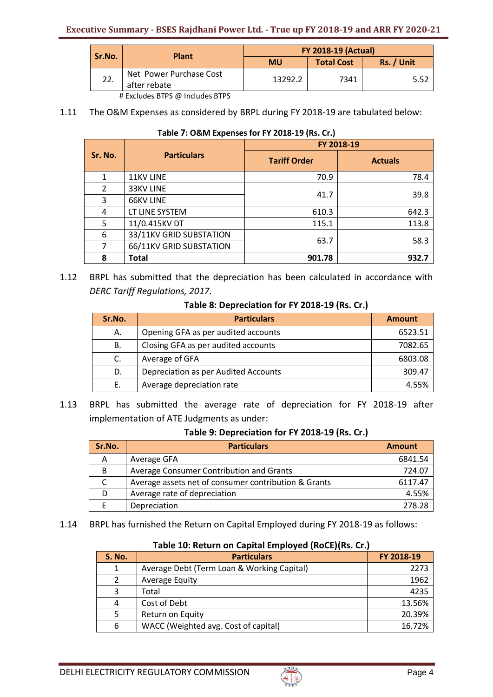| Sr.No. | <b>Plant</b>                            | <b>FY 2018-19 (Actual)</b> |                   |            |
|--------|-----------------------------------------|----------------------------|-------------------|------------|
|        |                                         | <b>MU</b>                  | <b>Total Cost</b> | Rs. / Unit |
| 22.    | Net Power Purchase Cost<br>after rebate | 13292.2                    | 7341              | 5.52       |

# Excludes BTPS @ Includes BTPS

1.11 The O&M Expenses as considered by BRPL during FY 2018‐19 are tabulated below:

| Sr. No. | <b>Particulars</b>      | FY 2018-19          |                |  |
|---------|-------------------------|---------------------|----------------|--|
|         |                         | <b>Tariff Order</b> | <b>Actuals</b> |  |
| 1       | <b>11KV LINE</b>        | 70.9                | 78.4           |  |
| 2       | 33KV LINE               |                     | 39.8           |  |
| 3       | <b>66KV LINE</b>        | 41.7                |                |  |
| 4       | LT LINE SYSTEM          | 610.3               | 642.3          |  |
| 5       | 11/0.415KV DT           | 115.1               | 113.8          |  |
| 6       | 33/11KV GRID SUBSTATION | 63.7                | 58.3           |  |
| 7       | 66/11KV GRID SUBSTATION |                     |                |  |
| 8       | <b>Total</b>            | 901.78              | 932.7          |  |

#### **Table 7: O&M Expenses for FY 2018-19 (Rs. Cr.)**

1.12 BRPL has submitted that the depreciation has been calculated in accordance with *DERC Tariff Regulations, 2017*.

## **Table 8: Depreciation for FY 2018-19 (Rs. Cr.)**

| Sr.No. | <b>Particulars</b>                   | <b>Amount</b> |
|--------|--------------------------------------|---------------|
| А.     | Opening GFA as per audited accounts  | 6523.51       |
| В.     | Closing GFA as per audited accounts  | 7082.65       |
| C.     | Average of GFA                       | 6803.08       |
| D.     | Depreciation as per Audited Accounts | 309.47        |
|        | Average depreciation rate            | 4.55%         |

1.13 BRPL has submitted the average rate of depreciation for FY 2018-19 after implementation of ATE Judgments as under:

### **Table 9: Depreciation for FY 2018-19 (Rs. Cr.)**

| Sr.No. | <b>Particulars</b>                                   | <b>Amount</b> |
|--------|------------------------------------------------------|---------------|
| А      | Average GFA                                          | 6841.54       |
| B      | Average Consumer Contribution and Grants             | 724.07        |
| C      | Average assets net of consumer contribution & Grants | 6117.47       |
| D      | Average rate of depreciation                         | 4.55%         |
|        | Depreciation                                         | 278.28        |

1.14 BRPL has furnished the Return on Capital Employed during FY 2018-19 as follows:

# **Table 10: Return on Capital Employed (RoCE)(Rs. Cr.)**

| <b>S. No.</b> | <b>Particulars</b>                         | FY 2018-19 |
|---------------|--------------------------------------------|------------|
| 1             | Average Debt (Term Loan & Working Capital) | 2273       |
| 2             | <b>Average Equity</b>                      | 1962       |
| 3             | Total                                      | 4235       |
| 4             | Cost of Debt                               | 13.56%     |
| 5             | Return on Equity                           | 20.39%     |
| 6             | WACC (Weighted avg. Cost of capital)       | 16.72%     |

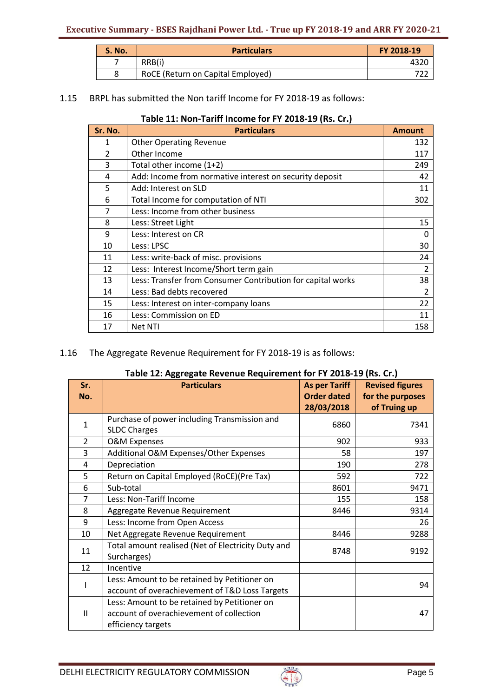| <b>S. No.</b> | <b>Particulars</b>                | FY 2018-19 |
|---------------|-----------------------------------|------------|
|               | RRB(i)                            |            |
|               | RoCE (Return on Capital Employed) |            |

# 1.15 BRPL has submitted the Non tariff Income for FY 2018-19 as follows:

## **Table 11: Non-Tariff Income for FY 2018-19 (Rs. Cr.)**

| Sr. No.        | <b>Particulars</b>                                          | <b>Amount</b>  |
|----------------|-------------------------------------------------------------|----------------|
| 1              | <b>Other Operating Revenue</b>                              | 132            |
| $\overline{2}$ | Other Income                                                | 117            |
| 3              | Total other income (1+2)                                    | 249            |
| 4              | Add: Income from normative interest on security deposit     | 42             |
| 5              | Add: Interest on SLD                                        | 11             |
| 6              | Total Income for computation of NTI                         | 302            |
| 7              | Less: Income from other business                            |                |
| 8              | Less: Street Light                                          | 15             |
| 9              | Less: Interest on CR                                        | 0              |
| 10             | Less: LPSC                                                  | 30             |
| 11             | Less: write-back of misc. provisions                        | 24             |
| 12             | Less: Interest Income/Short term gain                       | $\overline{2}$ |
| 13             | Less: Transfer from Consumer Contribution for capital works | 38             |
| 14             | Less: Bad debts recovered                                   | 2              |
| 15             | Less: Interest on inter-company loans                       | 22             |
| 16             | Less: Commission on ED                                      | 11             |
| 17             | Net NTI                                                     | 158            |

# 1.16 The Aggregate Revenue Requirement for FY 2018-19 is as follows:

|                                                    |                      | rable 12. Aggregate nevenue nequirement for FT 2010-13 (ns. Cr.)<br>Sr. |  |  |  |  |  |  |
|----------------------------------------------------|----------------------|-------------------------------------------------------------------------|--|--|--|--|--|--|
| <b>Particulars</b>                                 | <b>As per Tariff</b> | <b>Revised figures</b>                                                  |  |  |  |  |  |  |
|                                                    |                      | for the purposes                                                        |  |  |  |  |  |  |
|                                                    |                      | of Truing up                                                            |  |  |  |  |  |  |
| Purchase of power including Transmission and       |                      | 7341                                                                    |  |  |  |  |  |  |
| <b>SLDC Charges</b>                                |                      |                                                                         |  |  |  |  |  |  |
| <b>O&amp;M Expenses</b>                            | 902                  | 933                                                                     |  |  |  |  |  |  |
| Additional O&M Expenses/Other Expenses             | 58                   | 197                                                                     |  |  |  |  |  |  |
| Depreciation                                       | 190                  | 278                                                                     |  |  |  |  |  |  |
| Return on Capital Employed (RoCE)(Pre Tax)         | 592                  | 722                                                                     |  |  |  |  |  |  |
| Sub-total                                          | 8601                 | 9471                                                                    |  |  |  |  |  |  |
| Less: Non-Tariff Income                            | 155                  | 158                                                                     |  |  |  |  |  |  |
| Aggregate Revenue Requirement                      | 8446                 | 9314                                                                    |  |  |  |  |  |  |
| Less: Income from Open Access                      |                      | 26                                                                      |  |  |  |  |  |  |
| Net Aggregate Revenue Requirement                  | 8446                 | 9288                                                                    |  |  |  |  |  |  |
| Total amount realised (Net of Electricity Duty and |                      | 9192                                                                    |  |  |  |  |  |  |
| Surcharges)                                        |                      |                                                                         |  |  |  |  |  |  |
| Incentive                                          |                      |                                                                         |  |  |  |  |  |  |
| Less: Amount to be retained by Petitioner on       |                      | 94                                                                      |  |  |  |  |  |  |
| account of overachievement of T&D Loss Targets     |                      |                                                                         |  |  |  |  |  |  |
| Less: Amount to be retained by Petitioner on       |                      |                                                                         |  |  |  |  |  |  |
| account of overachievement of collection           |                      | 47                                                                      |  |  |  |  |  |  |
| efficiency targets                                 |                      |                                                                         |  |  |  |  |  |  |
|                                                    |                      | <b>Order dated</b><br>28/03/2018<br>6860<br>8748                        |  |  |  |  |  |  |

# **Table 12: Aggregate Revenue Requirement for FY 2018-19 (Rs. Cr.)**

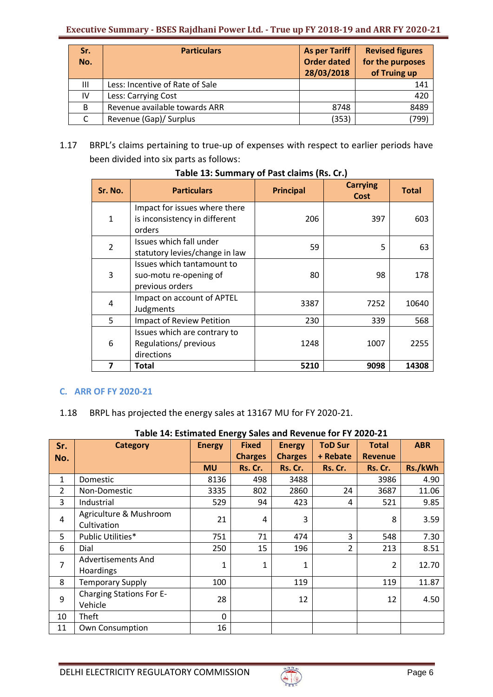# **Executive Summary - BSES Rajdhani Power Ltd. - True up FY 2018-19 and ARR FY 2020-21**

| Sr.<br>No.   | <b>Particulars</b>              | <b>As per Tariff</b><br><b>Order dated</b><br>28/03/2018 | <b>Revised figures</b><br>for the purposes<br>of Truing up |
|--------------|---------------------------------|----------------------------------------------------------|------------------------------------------------------------|
| Ш            | Less: Incentive of Rate of Sale |                                                          | 141                                                        |
| IV           | Less: Carrying Cost             |                                                          | 420                                                        |
| <sub>B</sub> | Revenue available towards ARR   | 8748                                                     | 8489                                                       |
|              | Revenue (Gap)/ Surplus          | (353)                                                    | (799)                                                      |

1.17 BRPL's claims pertaining to true-up of expenses with respect to earlier periods have been divided into six parts as follows:

| Sr. No.        | <b>Particulars</b>                                                       | <b>Principal</b> | <b>Carrying</b><br><b>Cost</b> | <b>Total</b> |
|----------------|--------------------------------------------------------------------------|------------------|--------------------------------|--------------|
| 1              | Impact for issues where there<br>is inconsistency in different<br>orders | 206              | 397                            | 603          |
| $\overline{2}$ | Issues which fall under<br>statutory levies/change in law                | 59               | 5                              | 63           |
| 3              | Issues which tantamount to<br>suo-motu re-opening of<br>previous orders  | 80               | 98                             | 178          |
| 4              | Impact on account of APTEL<br>Judgments                                  | 3387             | 7252                           | 10640        |
| 5              | Impact of Review Petition                                                | 230              | 339                            | 568          |
| 6              | Issues which are contrary to<br>Regulations/ previous<br>directions      | 1248             | 1007                           | 2255         |
| 7              | Total                                                                    | 5210             | 9098                           | 14308        |

# **Table 13: Summary of Past claims (Rs. Cr.)**

# **C. ARR OF FY 2020-21**

# 1.18 BRPL has projected the energy sales at 13167 MU for FY 2020-21.

|                | Table 14: Estimated Energy Sales and Revenue for FY 2020-21 |               |                |                |                |                |            |  |
|----------------|-------------------------------------------------------------|---------------|----------------|----------------|----------------|----------------|------------|--|
| Sr.            | <b>Category</b>                                             | <b>Energy</b> | <b>Fixed</b>   | <b>Energy</b>  | <b>ToD Sur</b> | <b>Total</b>   | <b>ABR</b> |  |
| No.            |                                                             |               | <b>Charges</b> | <b>Charges</b> | + Rebate       | <b>Revenue</b> |            |  |
|                |                                                             | <b>MU</b>     | Rs. Cr.        | Rs. Cr.        | Rs. Cr.        | Rs. Cr.        | Rs./kWh    |  |
| $\mathbf{1}$   | Domestic                                                    | 8136          | 498            | 3488           |                | 3986           | 4.90       |  |
| $\overline{2}$ | Non-Domestic                                                | 3335          | 802            | 2860           | 24             | 3687           | 11.06      |  |
| 3              | Industrial                                                  | 529           | 94             | 423            | 4              | 521            | 9.85       |  |
| 4              | Agriculture & Mushroom                                      | 21            | 4              | 3              |                | 8              | 3.59       |  |
|                | Cultivation                                                 |               |                |                |                |                |            |  |
| 5              | Public Utilities*                                           | 751           | 71             | 474            | 3              | 548            | 7.30       |  |
| 6              | Dial                                                        | 250           | 15             | 196            | 2              | 213            | 8.51       |  |
| 7              | <b>Advertisements And</b>                                   | 1             | $\mathbf{1}$   | $\mathbf{1}$   |                | 2              | 12.70      |  |
|                | Hoardings                                                   |               |                |                |                |                |            |  |
| 8              | <b>Temporary Supply</b>                                     | 100           |                | 119            |                | 119            | 11.87      |  |
| 9              | <b>Charging Stations For E-</b>                             | 28            |                | 12             |                | 12             | 4.50       |  |
|                | Vehicle                                                     |               |                |                |                |                |            |  |
| 10             | Theft                                                       | $\Omega$      |                |                |                |                |            |  |
| 11             | Own Consumption                                             | 16            |                |                |                |                |            |  |

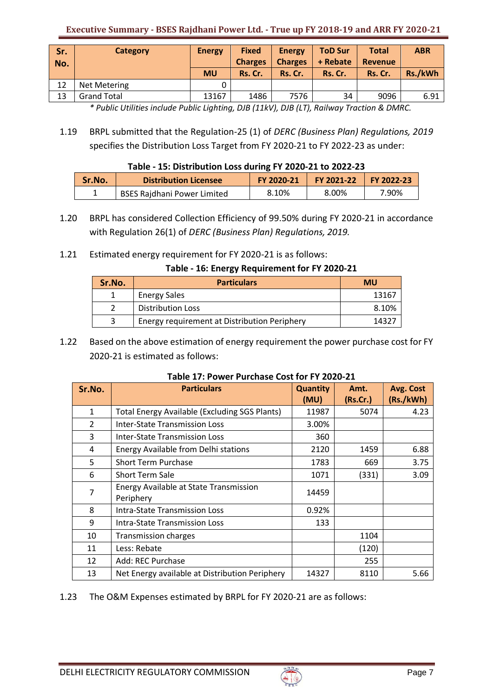| Sr.<br>No. | Category           | <b>Energy</b><br><b>MU</b> | <b>Fixed</b><br><b>Charges</b><br>Rs. Cr. | <b>Energy</b><br><b>Charges</b><br>Rs. Cr. | <b>ToD Sur</b><br>+ Rebate<br>Rs. Cr. | <b>Total</b><br><b>Revenue</b><br>Rs. Cr. | <b>ABR</b><br>Rs./kWh |
|------------|--------------------|----------------------------|-------------------------------------------|--------------------------------------------|---------------------------------------|-------------------------------------------|-----------------------|
| 12         | Net Metering       |                            |                                           |                                            |                                       |                                           |                       |
| 13         | <b>Grand Total</b> | 13167                      | 1486                                      | 7576                                       | 34                                    | 9096                                      | 6.91                  |

*\* Public Utilities include Public Lighting, DJB (11kV), DJB (LT), Railway Traction & DMRC.*

1.19 BRPL submitted that the Regulation-25 (1) of *DERC (Business Plan) Regulations, 2019* specifies the Distribution Loss Target from FY 2020-21 to FY 2022-23 as under:

# **Table - 15: Distribution Loss during FY 2020-21 to 2022-23**

| Sr.No. | <b>Distribution Licensee</b> | FY 2020-21 | FY 2021-22 | $\sqrt{Y}$ FY 2022-23 |
|--------|------------------------------|------------|------------|-----------------------|
|        | BSES Rajdhani Power Limited  | 8.10%      | 8.00%      | 7.90%                 |

1.20 BRPL has considered Collection Efficiency of 99.50% during FY 2020-21 in accordance with Regulation 26(1) of *DERC (Business Plan) Regulations, 2019.*

# 1.21 Estimated energy requirement for FY 2020-21 is as follows:

## **Table - 16: Energy Requirement for FY 2020-21**

| Sr.No. | <b>Particulars</b>                           | MU    |
|--------|----------------------------------------------|-------|
|        | <b>Energy Sales</b>                          | 13167 |
|        | <b>Distribution Loss</b>                     | 8.10% |
|        | Energy requirement at Distribution Periphery | 1137  |

1.22 Based on the above estimation of energy requirement the power purchase cost for FY 2020-21 is estimated as follows:

| Sr.No.        | <b>Particulars</b>                                   | <b>Quantity</b> | Amt.     | Avg. Cost |
|---------------|------------------------------------------------------|-----------------|----------|-----------|
|               |                                                      | (MU)            | (Rs.Cr.) | (Rs./kWh) |
| 1             | <b>Total Energy Available (Excluding SGS Plants)</b> | 11987           | 5074     | 4.23      |
| $\mathcal{P}$ | <b>Inter-State Transmission Loss</b>                 | 3.00%           |          |           |
| 3             | <b>Inter-State Transmission Loss</b>                 | 360             |          |           |
| 4             | Energy Available from Delhi stations                 | 2120            | 1459     | 6.88      |
| 5             | <b>Short Term Purchase</b>                           | 1783            | 669      | 3.75      |
| 6             | <b>Short Term Sale</b>                               | 1071            | (331)    | 3.09      |
| 7             | <b>Energy Available at State Transmission</b>        | 14459           |          |           |
|               | Periphery                                            |                 |          |           |
| 8             | <b>Intra-State Transmission Loss</b>                 | 0.92%           |          |           |
| 9             | <b>Intra-State Transmission Loss</b>                 | 133             |          |           |
| 10            | <b>Transmission charges</b>                          |                 | 1104     |           |
| 11            | Less: Rebate                                         |                 | (120)    |           |
| 12            | Add: REC Purchase                                    |                 | 255      |           |
| 13            | Net Energy available at Distribution Periphery       | 14327           | 8110     | 5.66      |

# **Table 17: Power Purchase Cost for FY 2020-21**

1.23 The O&M Expenses estimated by BRPL for FY 2020-21 are as follows:

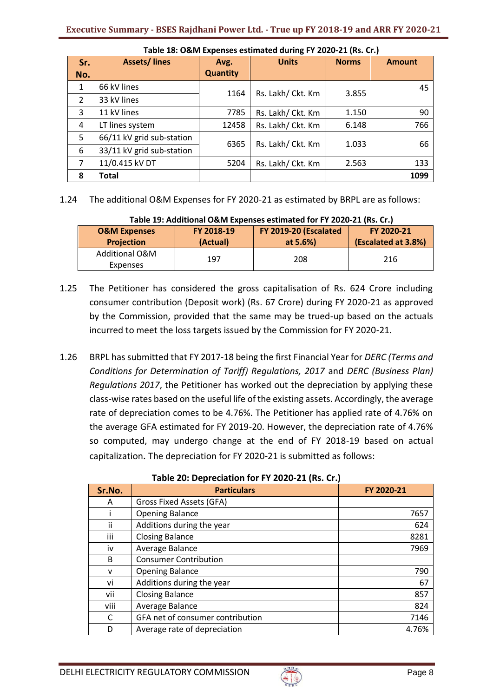| Sr.            | <b>Assets/lines</b>       | Avg.            | <b>Units</b>      | <b>Norms</b> | <b>Amount</b> |
|----------------|---------------------------|-----------------|-------------------|--------------|---------------|
| No.            |                           | <b>Quantity</b> |                   |              |               |
| 1              | 66 kV lines               | 1164            | Rs. Lakh/ Ckt. Km | 3.855        | 45            |
| $\overline{2}$ | 33 kV lines               |                 |                   |              |               |
| 3              | 11 kV lines               | 7785            | Rs. Lakh/ Ckt. Km | 1.150        | 90            |
| 4              | LT lines system           | 12458           | Rs. Lakh/ Ckt. Km | 6.148        | 766           |
| 5              | 66/11 kV grid sub-station | 6365            | Rs. Lakh/ Ckt. Km | 1.033        | 66            |
| 6              | 33/11 kV grid sub-station |                 |                   |              |               |
| 7              | 11/0.415 kV DT            | 5204            | Rs. Lakh/ Ckt. Km | 2.563        | 133           |
| 8              | <b>Total</b>              |                 |                   |              | 1099          |

### **Table 18: O&M Expenses estimated during FY 2020-21 (Rs. Cr.)**

1.24 The additional O&M Expenses for FY 2020-21 as estimated by BRPL are as follows:

| <b>O&amp;M Expenses</b>    | FY 2018-19 | FY 2019-20 (Escalated | FY 2020-21          |
|----------------------------|------------|-----------------------|---------------------|
| <b>Projection</b>          | (Actual)   | at 5.6%)              | (Escalated at 3.8%) |
| Additional O&M<br>Expenses | 197        | 208                   | 216                 |

#### **Table 19: Additional O&M Expenses estimated for FY 2020-21 (Rs. Cr.)**

- 1.25 The Petitioner has considered the gross capitalisation of Rs. 624 Crore including consumer contribution (Deposit work) (Rs. 67 Crore) during FY 2020-21 as approved by the Commission, provided that the same may be trued-up based on the actuals incurred to meet the loss targets issued by the Commission for FY 2020-21.
- 1.26 BRPL has submitted that FY 2017-18 being the first Financial Year for *DERC (Terms and Conditions for Determination of Tariff) Regulations, 2017* and *DERC (Business Plan) Regulations 2017*, the Petitioner has worked out the depreciation by applying these class-wise rates based on the useful life of the existing assets. Accordingly, the average rate of depreciation comes to be 4.76%. The Petitioner has applied rate of 4.76% on the average GFA estimated for FY 2019-20. However, the depreciation rate of 4.76% so computed, may undergo change at the end of FY 2018-19 based on actual capitalization. The depreciation for FY 2020-21 is submitted as follows:

| Sr.No. | <b>Particulars</b>               | FY 2020-21 |
|--------|----------------------------------|------------|
| A      | Gross Fixed Assets (GFA)         |            |
|        | <b>Opening Balance</b>           | 7657       |
| ii     | Additions during the year        | 624        |
| iii    | <b>Closing Balance</b>           | 8281       |
| iv     | Average Balance                  | 7969       |
| B      | <b>Consumer Contribution</b>     |            |
| v      | <b>Opening Balance</b>           | 790        |
| vi     | Additions during the year        | 67         |
| vii    | <b>Closing Balance</b>           | 857        |
| viii   | Average Balance                  | 824        |
| C      | GFA net of consumer contribution | 7146       |
| D      | Average rate of depreciation     | 4.76%      |

#### **Table 20: Depreciation for FY 2020-21 (Rs. Cr.)**

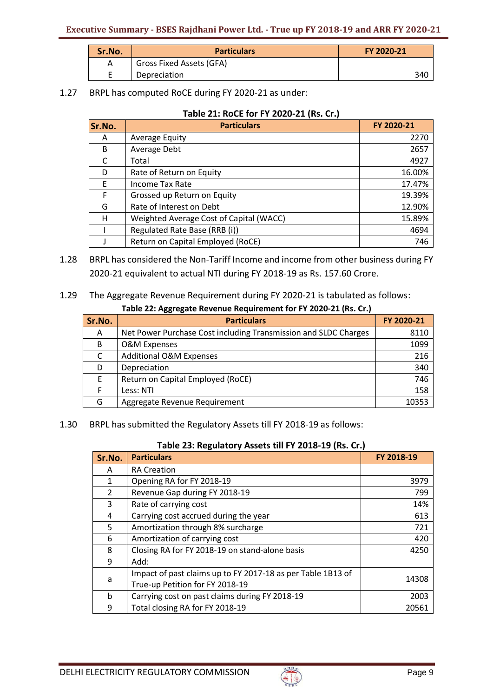| Sr.No. | <b>Particulars</b>       | FY 2020-21 |  |
|--------|--------------------------|------------|--|
|        | Gross Fixed Assets (GFA) |            |  |
|        | Depreciation             | 340        |  |

1.27 BRPL has computed RoCE during FY 2020-21 as under:

| Table 21: RoCE for FY 2020-21 (Rs. Cr.) |  |
|-----------------------------------------|--|
|-----------------------------------------|--|

| Sr.No. | <b>Particulars</b>                      | FY 2020-21 |
|--------|-----------------------------------------|------------|
| A      | <b>Average Equity</b>                   | 2270       |
| B      | Average Debt                            | 2657       |
|        | Total                                   | 4927       |
| D      | Rate of Return on Equity                | 16.00%     |
| F      | Income Tax Rate                         | 17.47%     |
| F      | Grossed up Return on Equity             | 19.39%     |
| G      | Rate of Interest on Debt                | 12.90%     |
| н      | Weighted Average Cost of Capital (WACC) | 15.89%     |
|        | Regulated Rate Base (RRB (i))           | 4694       |
|        | Return on Capital Employed (RoCE)       | 746        |

- 1.28 BRPL has considered the Non-Tariff Income and income from other business during FY 2020-21 equivalent to actual NTI during FY 2018-19 as Rs. 157.60 Crore.
- 1.29 The Aggregate Revenue Requirement during FY 2020-21 is tabulated as follows: **Table 22: Aggregate Revenue Requirement for FY 2020-21 (Rs. Cr.)**

| Sr.No. | <b>Particulars</b>                                              | FY 2020-21 |
|--------|-----------------------------------------------------------------|------------|
| A      | Net Power Purchase Cost including Transmission and SLDC Charges | 8110       |
| B      | <b>O&amp;M Expenses</b>                                         | 1099       |
| C      | <b>Additional O&amp;M Expenses</b>                              | 216        |
| D      | Depreciation                                                    | 340        |
| F      | Return on Capital Employed (RoCE)                               | 746        |
| F.     | Less: NTI                                                       | 158        |
| G      | Aggregate Revenue Requirement                                   | 10353      |

1.30 BRPL has submitted the Regulatory Assets till FY 2018-19 as follows:

| Sr.No.         | <b>Particulars</b>                                          | FY 2018-19 |
|----------------|-------------------------------------------------------------|------------|
| A              | <b>RA Creation</b>                                          |            |
| 1              | Opening RA for FY 2018-19                                   | 3979       |
| $\overline{2}$ | Revenue Gap during FY 2018-19                               | 799        |
| 3              | Rate of carrying cost                                       | 14%        |
| 4              | Carrying cost accrued during the year                       | 613        |
| 5              | Amortization through 8% surcharge                           | 721        |
| 6              | Amortization of carrying cost                               | 420        |
| 8              | Closing RA for FY 2018-19 on stand-alone basis              | 4250       |
| 9              | Add:                                                        |            |
| a              | Impact of past claims up to FY 2017-18 as per Table 1B13 of | 14308      |
|                | True-up Petition for FY 2018-19                             |            |
| <sub>b</sub>   | Carrying cost on past claims during FY 2018-19              | 2003       |
| 9              | Total closing RA for FY 2018-19                             | 20561      |

|--|